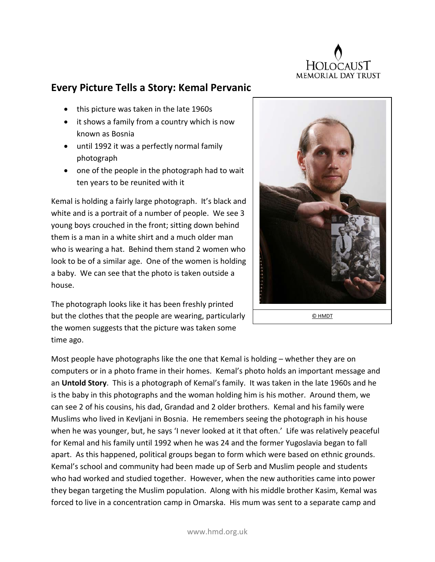

## **Every Picture Tells a Story: Kemal Pervanic**

- this picture was taken in the late 1960s
- it shows a family from a country which is now known as Bosnia
- until 1992 it was a perfectly normal family photograph
- one of the people in the photograph had to wait ten years to be reunited with it

Kemal is holding a fairly large photograph. It's black and white and is a portrait of a number of people. We see 3 young boys crouched in the front; sitting down behind them is a man in a white shirt and a much older man who is wearing a hat. Behind them stand 2 women who look to be of a similar age. One of the women is holding a baby. We can see that the photo is taken outside a house.



© HMDT

The photograph looks like it has been freshly printed but the clothes that the people are wearing, particularly the women suggests that the picture was taken some time ago.

Most people have photographs like the one that Kemal is holding – whether they are on computers or in a photo frame in their homes. Kemal's photo holds an important message and an **Untold Story**. This is a photograph of Kemal's family. It was taken in the late 1960s and he is the baby in this photographs and the woman holding him is his mother. Around them, we can see 2 of his cousins, his dad, Grandad and 2 older brothers. Kemal and his family were Muslims who lived in Kevljani in Bosnia. He remembers seeing the photograph in his house when he was younger, but, he says 'I never looked at it that often.' Life was relatively peaceful for Kemal and his family until 1992 when he was 24 and the former Yugoslavia began to fall apart. As this happened, political groups began to form which were based on ethnic grounds. Kemal's school and community had been made up of Serb and Muslim people and students who had worked and studied together. However, when the new authorities came into power they began targeting the Muslim population. Along with his middle brother Kasim, Kemal was forced to live in a concentration camp in Omarska. His mum was sent to a separate camp and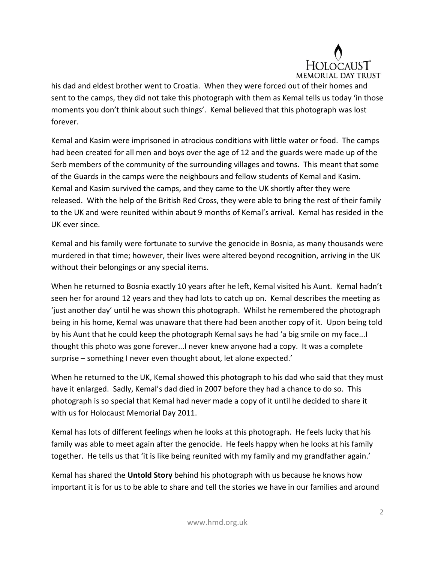

his dad and eldest brother went to Croatia. When they were forced out of their homes and sent to the camps, they did not take this photograph with them as Kemal tells us today 'in those moments you don't think about such things'. Kemal believed that this photograph was lost forever.

Kemal and Kasim were imprisoned in atrocious conditions with little water or food. The camps had been created for all men and boys over the age of 12 and the guards were made up of the Serb members of the community of the surrounding villages and towns. This meant that some of the Guards in the camps were the neighbours and fellow students of Kemal and Kasim. Kemal and Kasim survived the camps, and they came to the UK shortly after they were released. With the help of the British Red Cross, they were able to bring the rest of their family to the UK and were reunited within about 9 months of Kemal's arrival. Kemal has resided in the UK ever since.

Kemal and his family were fortunate to survive the genocide in Bosnia, as many thousands were murdered in that time; however, their lives were altered beyond recognition, arriving in the UK without their belongings or any special items.

When he returned to Bosnia exactly 10 years after he left, Kemal visited his Aunt. Kemal hadn't seen her for around 12 years and they had lots to catch up on. Kemal describes the meeting as 'just another day' until he was shown this photograph. Whilst he remembered the photograph being in his home, Kemal was unaware that there had been another copy of it. Upon being told by his Aunt that he could keep the photograph Kemal says he had 'a big smile on my face...I thought this photo was gone forever...I never knew anyone had a copy. It was a complete surprise – something I never even thought about, let alone expected.'

When he returned to the UK, Kemal showed this photograph to his dad who said that they must have it enlarged. Sadly, Kemal's dad died in 2007 before they had a chance to do so. This photograph is so special that Kemal had never made a copy of it until he decided to share it with us for Holocaust Memorial Day 2011.

Kemal has lots of different feelings when he looks at this photograph. He feels lucky that his family was able to meet again after the genocide. He feels happy when he looks at his family together. He tells us that 'it is like being reunited with my family and my grandfather again.'

Kemal has shared the **Untold Story** behind his photograph with us because he knows how important it is for us to be able to share and tell the stories we have in our families and around